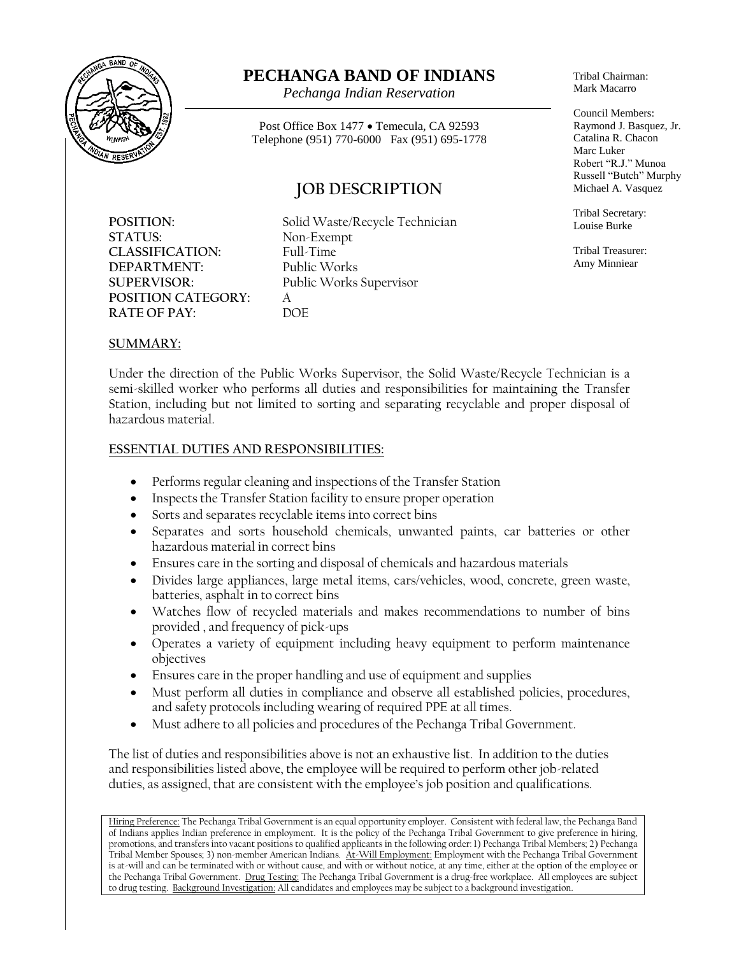

# **PECHANGA BAND OF INDIANS**

*Pechanga Indian Reservation*

Post Office Box 1477 • Temecula, CA 92593 Telephone (951) 770-6000 Fax (951) 695-1778

## **JOB DESCRIPTION**

**STATUS:** Non-Exempt **CLASSIFICATION:** Full-Time<br> **DEPARTMENT:** Public Works **DEPARTMENT: POSITION CATEGORY:** A<br>**RATE OF PAY:** DOF **RATE OF PAY:** 

POSITION: Solid Waste/Recycle Technician **SUPERVISOR:** Public Works Supervisor

Tribal Chairman: Mark Macarro

Council Members: Raymond J. Basquez, Jr. Catalina R. Chacon Marc Luker Robert "R.J." Munoa Russell "Butch" Murphy Michael A. Vasquez

Tribal Secretary: Louise Burke

Tribal Treasurer: Amy Minniear

#### **SUMMARY:**

Under the direction of the Public Works Supervisor, the Solid Waste/Recycle Technician is a semi-skilled worker who performs all duties and responsibilities for maintaining the Transfer Station, including but not limited to sorting and separating recyclable and proper disposal of hazardous material.

#### **ESSENTIAL DUTIES AND RESPONSIBILITIES:**

- Performs regular cleaning and inspections of the Transfer Station
- Inspects the Transfer Station facility to ensure proper operation
- Sorts and separates recyclable items into correct bins
- Separates and sorts household chemicals, unwanted paints, car batteries or other hazardous material in correct bins
- Ensures care in the sorting and disposal of chemicals and hazardous materials
- Divides large appliances, large metal items, cars/vehicles, wood, concrete, green waste, batteries, asphalt in to correct bins
- Watches flow of recycled materials and makes recommendations to number of bins provided , and frequency of pick-ups
- Operates a variety of equipment including heavy equipment to perform maintenance objectives
- Ensures care in the proper handling and use of equipment and supplies
- Must perform all duties in compliance and observe all established policies, procedures, and safety protocols including wearing of required PPE at all times.
- Must adhere to all policies and procedures of the Pechanga Tribal Government.

The list of duties and responsibilities above is not an exhaustive list. In addition to the duties and responsibilities listed above, the employee will be required to perform other job-related duties, as assigned, that are consistent with the employee's job position and qualifications.

Hiring Preference: The Pechanga Tribal Government is an equal opportunity employer. Consistent with federal law, the Pechanga Band of Indians applies Indian preference in employment. It is the policy of the Pechanga Tribal Government to give preference in hiring, promotions, and transfers into vacant positions to qualified applicants in the following order: 1) Pechanga Tribal Members; 2) Pechanga Tribal Member Spouses; 3) non-member American Indians. At-Will Employment: Employment with the Pechanga Tribal Government is at-will and can be terminated with or without cause, and with or without notice, at any time, either at the option of the employee or the Pechanga Tribal Government. Drug Testing: The Pechanga Tribal Government is a drug-free workplace. All employees are subject to drug testing. Background Investigation: All candidates and employees may be subject to a background investigation.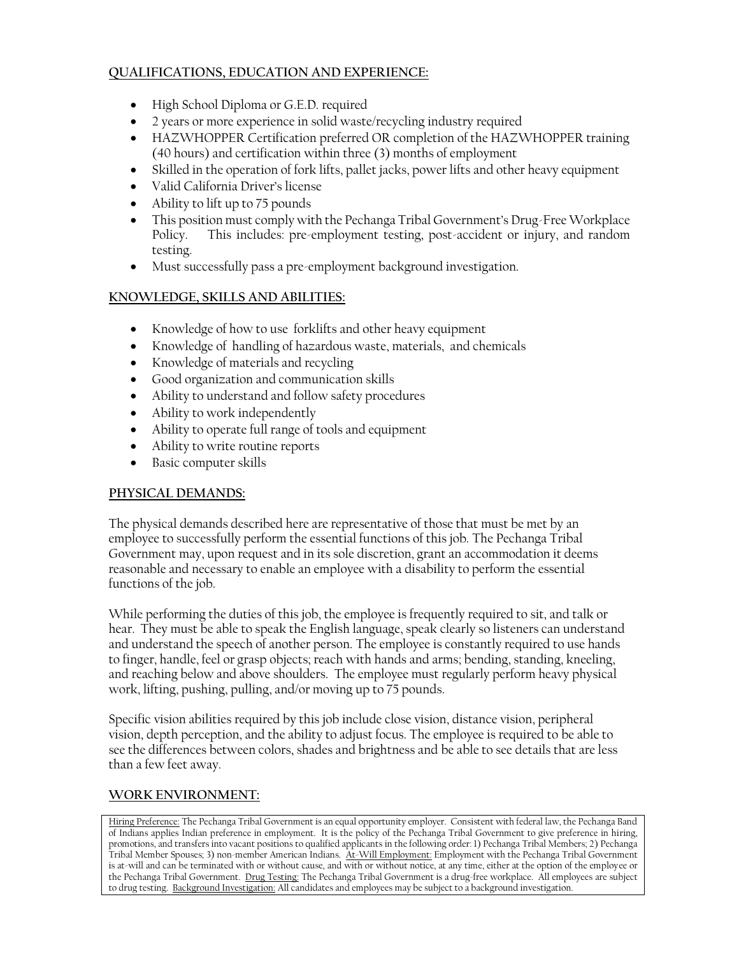#### **QUALIFICATIONS, EDUCATION AND EXPERIENCE:**

- High School Diploma or G.E.D. required
- 2 years or more experience in solid waste/recycling industry required
- HAZWHOPPER Certification preferred OR completion of the HAZWHOPPER training (40 hours) and certification within three (3) months of employment
- Skilled in the operation of fork lifts, pallet jacks, power lifts and other heavy equipment
- Valid California Driver's license
- Ability to lift up to 75 pounds
- This position must comply with the Pechanga Tribal Government's Drug-Free Workplace Policy. This includes: pre-employment testing, post-accident or injury, and random testing.
- Must successfully pass a pre-employment background investigation.

#### **KNOWLEDGE, SKILLS AND ABILITIES:**

- Knowledge of how to use forklifts and other heavy equipment
- Knowledge of handling of hazardous waste, materials, and chemicals
- Knowledge of materials and recycling
- Good organization and communication skills
- Ability to understand and follow safety procedures
- Ability to work independently
- Ability to operate full range of tools and equipment
- Ability to write routine reports
- Basic computer skills

#### **PHYSICAL DEMANDS:**

The physical demands described here are representative of those that must be met by an employee to successfully perform the essential functions of this job. The Pechanga Tribal Government may, upon request and in its sole discretion, grant an accommodation it deems reasonable and necessary to enable an employee with a disability to perform the essential functions of the job.

While performing the duties of this job, the employee is frequently required to sit, and talk or hear. They must be able to speak the English language, speak clearly so listeners can understand and understand the speech of another person. The employee is constantly required to use hands to finger, handle, feel or grasp objects; reach with hands and arms; bending, standing, kneeling, and reaching below and above shoulders. The employee must regularly perform heavy physical work, lifting, pushing, pulling, and/or moving up to 75 pounds.

Specific vision abilities required by this job include close vision, distance vision, peripheral vision, depth perception, and the ability to adjust focus. The employee is required to be able to see the differences between colors, shades and brightness and be able to see details that are less than a few feet away.

### **WORK ENVIRONMENT:**

Hiring Preference: The Pechanga Tribal Government is an equal opportunity employer. Consistent with federal law, the Pechanga Band of Indians applies Indian preference in employment. It is the policy of the Pechanga Tribal Government to give preference in hiring, promotions, and transfers into vacant positions to qualified applicants in the following order: 1) Pechanga Tribal Members; 2) Pechanga Tribal Member Spouses; 3) non-member American Indians. At-Will Employment: Employment with the Pechanga Tribal Government is at-will and can be terminated with or without cause, and with or without notice, at any time, either at the option of the employee or the Pechanga Tribal Government. Drug Testing: The Pechanga Tribal Government is a drug-free workplace. All employees are subject to drug testing. Background Investigation: All candidates and employees may be subject to a background investigation.